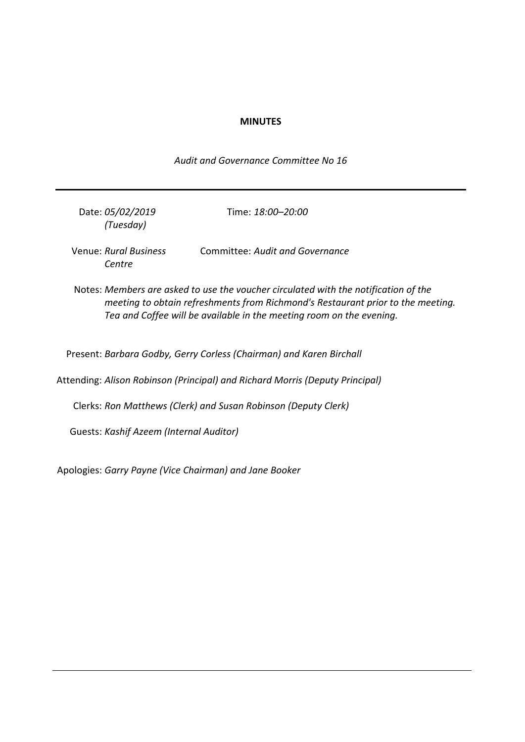### **MINUTES**

*Audit and Governance Committee No 16*

| Date: 05/02/2019 | Time: 18:00-20:00 |
|------------------|-------------------|
| (Tuesday)        |                   |
|                  |                   |

Venue: *Rural Business Centre* Committee: *Audit and Governance*

Notes: *Members are asked to use the voucher circulated with the notification of the meeting to obtain refreshments from Richmond's Restaurant prior to the meeting. Tea and Coffee will be available in the meeting room on the evening.*

Present: *Barbara Godby, Gerry Corless (Chairman) and Karen Birchall*

Attending: *Alison Robinson (Principal) and Richard Morris (Deputy Principal)*

Clerks: *Ron Matthews (Clerk) and Susan Robinson (Deputy Clerk)*

Guests: *Kashif Azeem (Internal Auditor)*

Apologies: *Garry Payne (Vice Chairman) and Jane Booker*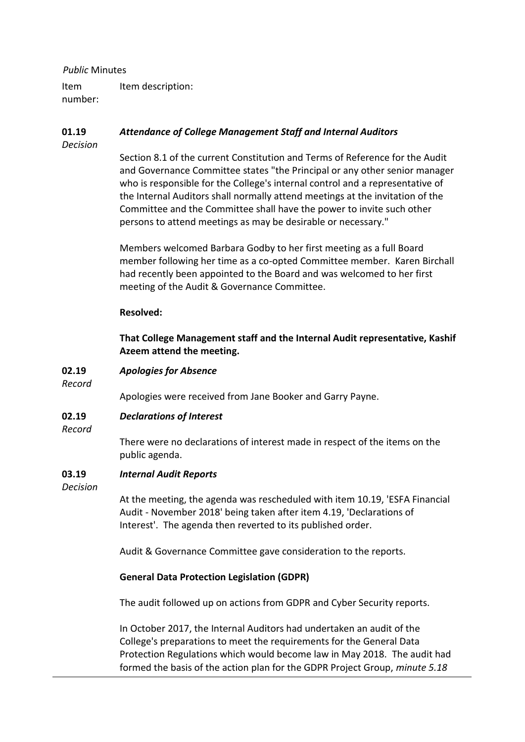### *Public* Minutes

Item number: Item description:

#### **01.19** *Attendance of College Management Staff and Internal Auditors*

*Decision*

Section 8.1 of the current Constitution and Terms of Reference for the Audit and Governance Committee states "the Principal or any other senior manager who is responsible for the College's internal control and a representative of the Internal Auditors shall normally attend meetings at the invitation of the Committee and the Committee shall have the power to invite such other persons to attend meetings as may be desirable or necessary."

Members welcomed Barbara Godby to her first meeting as a full Board member following her time as a co-opted Committee member. Karen Birchall had recently been appointed to the Board and was welcomed to her first meeting of the Audit & Governance Committee.

### **Resolved:**

**That College Management staff and the Internal Audit representative, Kashif Azeem attend the meeting.**

#### **02.19** *Apologies for Absence*

*Record*

Apologies were received from Jane Booker and Garry Payne.

#### **02.19** *Declarations of Interest*

*Record*

There were no declarations of interest made in respect of the items on the public agenda.

#### **03.19** *Internal Audit Reports*

*Decision*

At the meeting, the agenda was rescheduled with item 10.19, 'ESFA Financial Audit - November 2018' being taken after item 4.19, 'Declarations of Interest'. The agenda then reverted to its published order.

Audit & Governance Committee gave consideration to the reports.

# **General Data Protection Legislation (GDPR)**

The audit followed up on actions from GDPR and Cyber Security reports.

In October 2017, the Internal Auditors had undertaken an audit of the College's preparations to meet the requirements for the General Data Protection Regulations which would become law in May 2018. The audit had formed the basis of the action plan for the GDPR Project Group, *minute 5.18*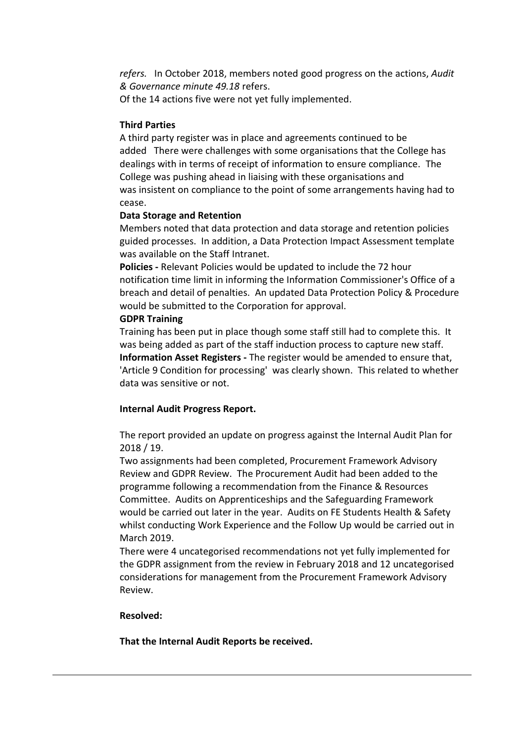*refers.* In October 2018, members noted good progress on the actions, *Audit & Governance minute 49.18* refers.

Of the 14 actions five were not yet fully implemented.

# **Third Parties**

A third party register was in place and agreements continued to be added There were challenges with some organisations that the College has dealings with in terms of receipt of information to ensure compliance. The College was pushing ahead in liaising with these organisations and was insistent on compliance to the point of some arrangements having had to cease.

# **Data Storage and Retention**

Members noted that data protection and data storage and retention policies guided processes. In addition, a Data Protection Impact Assessment template was available on the Staff Intranet.

**Policies -** Relevant Policies would be updated to include the 72 hour notification time limit in informing the Information Commissioner's Office of a breach and detail of penalties. An updated Data Protection Policy & Procedure would be submitted to the Corporation for approval.

# **GDPR Training**

Training has been put in place though some staff still had to complete this. It was being added as part of the staff induction process to capture new staff. **Information Asset Registers -** The register would be amended to ensure that, 'Article 9 Condition for processing' was clearly shown. This related to whether data was sensitive or not.

# **Internal Audit Progress Report.**

The report provided an update on progress against the Internal Audit Plan for 2018 / 19.

Two assignments had been completed, Procurement Framework Advisory Review and GDPR Review. The Procurement Audit had been added to the programme following a recommendation from the Finance & Resources Committee. Audits on Apprenticeships and the Safeguarding Framework would be carried out later in the year. Audits on FE Students Health & Safety whilst conducting Work Experience and the Follow Up would be carried out in March 2019.

There were 4 uncategorised recommendations not yet fully implemented for the GDPR assignment from the review in February 2018 and 12 uncategorised considerations for management from the Procurement Framework Advisory Review.

# **Resolved:**

**That the Internal Audit Reports be received.**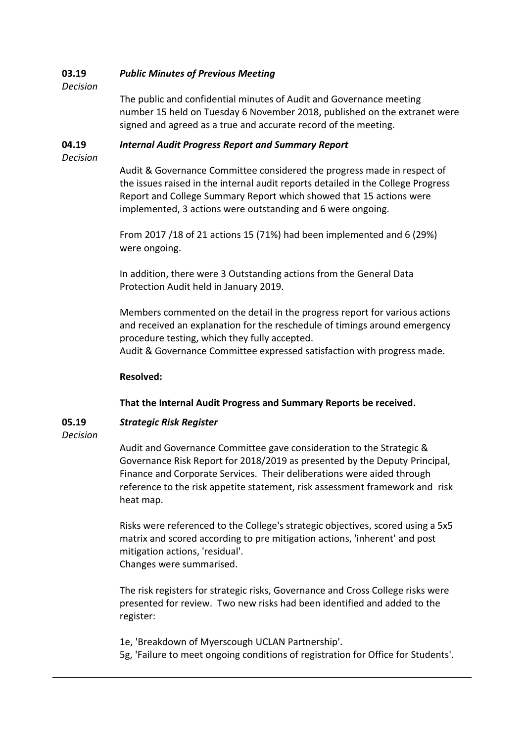#### **03.19** *Public Minutes of Previous Meeting*

*Decision*

The public and confidential minutes of Audit and Governance meeting number 15 held on Tuesday 6 November 2018, published on the extranet were signed and agreed as a true and accurate record of the meeting.

#### **04.19** *Internal Audit Progress Report and Summary Report*

*Decision*

Audit & Governance Committee considered the progress made in respect of the issues raised in the internal audit reports detailed in the College Progress Report and College Summary Report which showed that 15 actions were implemented, 3 actions were outstanding and 6 were ongoing.

From 2017 /18 of 21 actions 15 (71%) had been implemented and 6 (29%) were ongoing.

In addition, there were 3 Outstanding actions from the General Data Protection Audit held in January 2019.

Members commented on the detail in the progress report for various actions and received an explanation for the reschedule of timings around emergency procedure testing, which they fully accepted.

Audit & Governance Committee expressed satisfaction with progress made.

# **Resolved:**

# **That the Internal Audit Progress and Summary Reports be received.**

#### **05.19** *Strategic Risk Register*

*Decision*

Audit and Governance Committee gave consideration to the Strategic & Governance Risk Report for 2018/2019 as presented by the Deputy Principal, Finance and Corporate Services. Their deliberations were aided through reference to the risk appetite statement, risk assessment framework and risk heat map.

Risks were referenced to the College's strategic objectives, scored using a 5x5 matrix and scored according to pre mitigation actions, 'inherent' and post mitigation actions, 'residual'. Changes were summarised.

The risk registers for strategic risks, Governance and Cross College risks were presented for review. Two new risks had been identified and added to the register:

1e, 'Breakdown of Myerscough UCLAN Partnership'.

5g, 'Failure to meet ongoing conditions of registration for Office for Students'.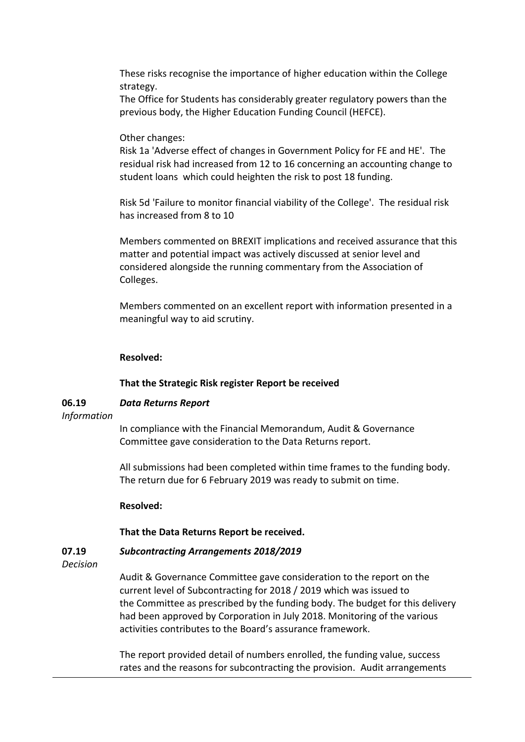These risks recognise the importance of higher education within the College strategy.

The Office for Students has considerably greater regulatory powers than the previous body, the Higher Education Funding Council (HEFCE).

### Other changes:

Risk 1a 'Adverse effect of changes in Government Policy for FE and HE'. The residual risk had increased from 12 to 16 concerning an accounting change to student loans which could heighten the risk to post 18 funding.

Risk 5d 'Failure to monitor financial viability of the College'. The residual risk has increased from 8 to 10

Members commented on BREXIT implications and received assurance that this matter and potential impact was actively discussed at senior level and considered alongside the running commentary from the Association of Colleges.

Members commented on an excellent report with information presented in a meaningful way to aid scrutiny.

### **Resolved:**

### **That the Strategic Risk register Report be received**

#### **06.19** *Data Returns Report*

*Information*

In compliance with the Financial Memorandum, Audit & Governance Committee gave consideration to the Data Returns report.

All submissions had been completed within time frames to the funding body. The return due for 6 February 2019 was ready to submit on time.

### **Resolved:**

### **That the Data Returns Report be received.**

#### **07.19** *Subcontracting Arrangements 2018/2019*

*Decision*

Audit & Governance Committee gave consideration to the report on the current level of Subcontracting for 2018 / 2019 which was issued to the Committee as prescribed by the funding body. The budget for this delivery had been approved by Corporation in July 2018. Monitoring of the various activities contributes to the Board's assurance framework.

The report provided detail of numbers enrolled, the funding value, success rates and the reasons for subcontracting the provision. Audit arrangements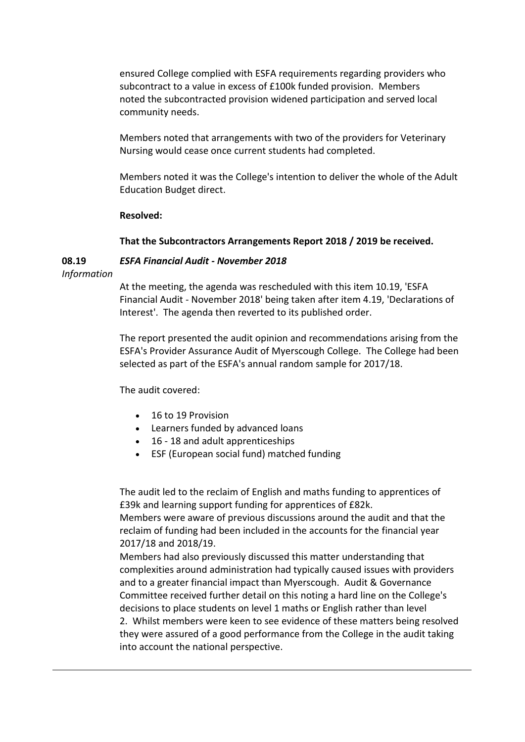ensured College complied with ESFA requirements regarding providers who subcontract to a value in excess of £100k funded provision. Members noted the subcontracted provision widened participation and served local community needs.

Members noted that arrangements with two of the providers for Veterinary Nursing would cease once current students had completed.

Members noted it was the College's intention to deliver the whole of the Adult Education Budget direct.

### **Resolved:**

# **That the Subcontractors Arrangements Report 2018 / 2019 be received.**

#### **08.19** *ESFA Financial Audit - November 2018*

*Information*

At the meeting, the agenda was rescheduled with this item 10.19, 'ESFA Financial Audit - November 2018' being taken after item 4.19, 'Declarations of Interest'. The agenda then reverted to its published order.

The report presented the audit opinion and recommendations arising from the ESFA's Provider Assurance Audit of Myerscough College. The College had been selected as part of the ESFA's annual random sample for 2017/18.

The audit covered:

- 16 to 19 Provision
- Learners funded by advanced loans
- 16 18 and adult apprenticeships
- ESF (European social fund) matched funding

The audit led to the reclaim of English and maths funding to apprentices of £39k and learning support funding for apprentices of £82k.

Members were aware of previous discussions around the audit and that the reclaim of funding had been included in the accounts for the financial year 2017/18 and 2018/19.

Members had also previously discussed this matter understanding that complexities around administration had typically caused issues with providers and to a greater financial impact than Myerscough. Audit & Governance Committee received further detail on this noting a hard line on the College's decisions to place students on level 1 maths or English rather than level

2. Whilst members were keen to see evidence of these matters being resolved they were assured of a good performance from the College in the audit taking into account the national perspective.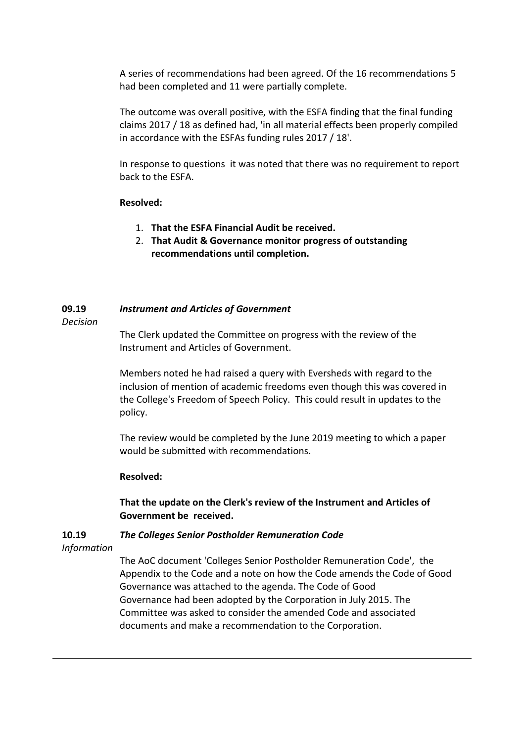A series of recommendations had been agreed. Of the 16 recommendations 5 had been completed and 11 were partially complete.

The outcome was overall positive, with the ESFA finding that the final funding claims 2017 / 18 as defined had, 'in all material effects been properly compiled in accordance with the ESFAs funding rules 2017 / 18'.

In response to questions it was noted that there was no requirement to report back to the ESFA.

### **Resolved:**

- 1. **That the ESFA Financial Audit be received.**
- 2. **That Audit & Governance monitor progress of outstanding recommendations until completion.**

#### **09.19** *Instrument and Articles of Government*

*Decision*

The Clerk updated the Committee on progress with the review of the Instrument and Articles of Government.

Members noted he had raised a query with Eversheds with regard to the inclusion of mention of academic freedoms even though this was covered in the College's Freedom of Speech Policy. This could result in updates to the policy.

The review would be completed by the June 2019 meeting to which a paper would be submitted with recommendations.

### **Resolved:**

**That the update on the Clerk's review of the Instrument and Articles of Government be received.**

#### **10.19** *The Colleges Senior Postholder Remuneration Code*

*Information*

The AoC document 'Colleges Senior Postholder Remuneration Code', the Appendix to the Code and a note on how the Code amends the Code of Good Governance was attached to the agenda. The Code of Good Governance had been adopted by the Corporation in July 2015. The Committee was asked to consider the amended Code and associated documents and make a recommendation to the Corporation.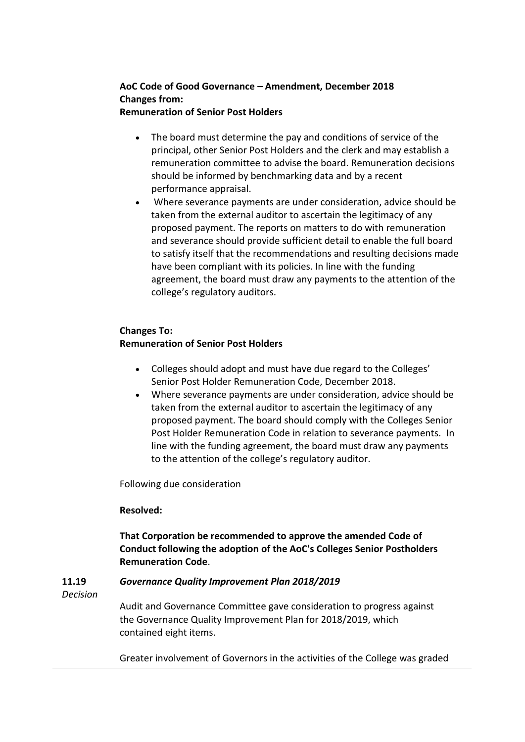# **AoC Code of Good Governance – Amendment, December 2018 Changes from:**

# **Remuneration of Senior Post Holders**

- The board must determine the pay and conditions of service of the principal, other Senior Post Holders and the clerk and may establish a remuneration committee to advise the board. Remuneration decisions should be informed by benchmarking data and by a recent performance appraisal.
- Where severance payments are under consideration, advice should be taken from the external auditor to ascertain the legitimacy of any proposed payment. The reports on matters to do with remuneration and severance should provide sufficient detail to enable the full board to satisfy itself that the recommendations and resulting decisions made have been compliant with its policies. In line with the funding agreement, the board must draw any payments to the attention of the college's regulatory auditors.

# **Changes To:**

# **Remuneration of Senior Post Holders**

- Colleges should adopt and must have due regard to the Colleges' Senior Post Holder Remuneration Code, December 2018.
- Where severance payments are under consideration, advice should be taken from the external auditor to ascertain the legitimacy of any proposed payment. The board should comply with the Colleges Senior Post Holder Remuneration Code in relation to severance payments. In line with the funding agreement, the board must draw any payments to the attention of the college's regulatory auditor.

Following due consideration

# **Resolved:**

# **That Corporation be recommended to approve the amended Code of Conduct following the adoption of the AoC's Colleges Senior Postholders Remuneration Code**.

#### **11.19** *Governance Quality Improvement Plan 2018/2019*

*Decision*

Audit and Governance Committee gave consideration to progress against the Governance Quality Improvement Plan for 2018/2019, which contained eight items.

Greater involvement of Governors in the activities of the College was graded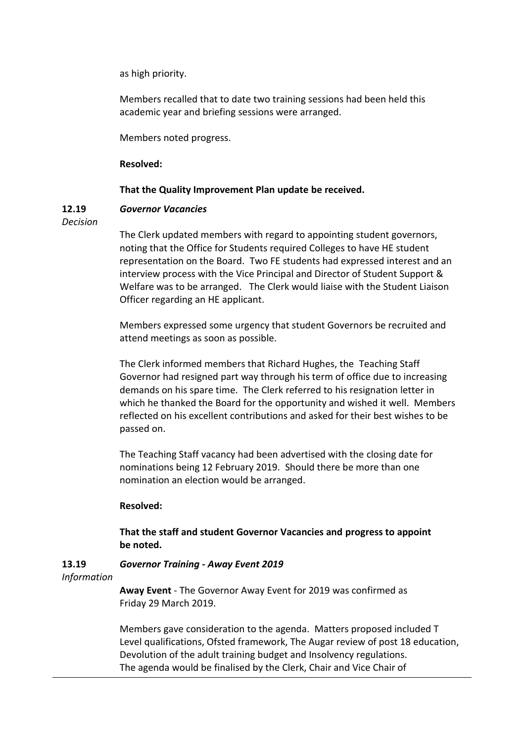as high priority.

Members recalled that to date two training sessions had been held this academic year and briefing sessions were arranged.

Members noted progress.

### **Resolved:**

### **That the Quality Improvement Plan update be received.**

#### **12.19** *Governor Vacancies*

*Decision*

The Clerk updated members with regard to appointing student governors, noting that the Office for Students required Colleges to have HE student representation on the Board. Two FE students had expressed interest and an interview process with the Vice Principal and Director of Student Support & Welfare was to be arranged. The Clerk would liaise with the Student Liaison Officer regarding an HE applicant.

Members expressed some urgency that student Governors be recruited and attend meetings as soon as possible.

The Clerk informed members that Richard Hughes, the Teaching Staff Governor had resigned part way through his term of office due to increasing demands on his spare time. The Clerk referred to his resignation letter in which he thanked the Board for the opportunity and wished it well. Members reflected on his excellent contributions and asked for their best wishes to be passed on.

The Teaching Staff vacancy had been advertised with the closing date for nominations being 12 February 2019. Should there be more than one nomination an election would be arranged.

# **Resolved:**

# **That the staff and student Governor Vacancies and progress to appoint be noted.**

#### **13.19** *Governor Training - Away Event 2019*

*Information*

**Away Event** - The Governor Away Event for 2019 was confirmed as Friday 29 March 2019.

Members gave consideration to the agenda. Matters proposed included T Level qualifications, Ofsted framework, The Augar review of post 18 education, Devolution of the adult training budget and Insolvency regulations. The agenda would be finalised by the Clerk, Chair and Vice Chair of